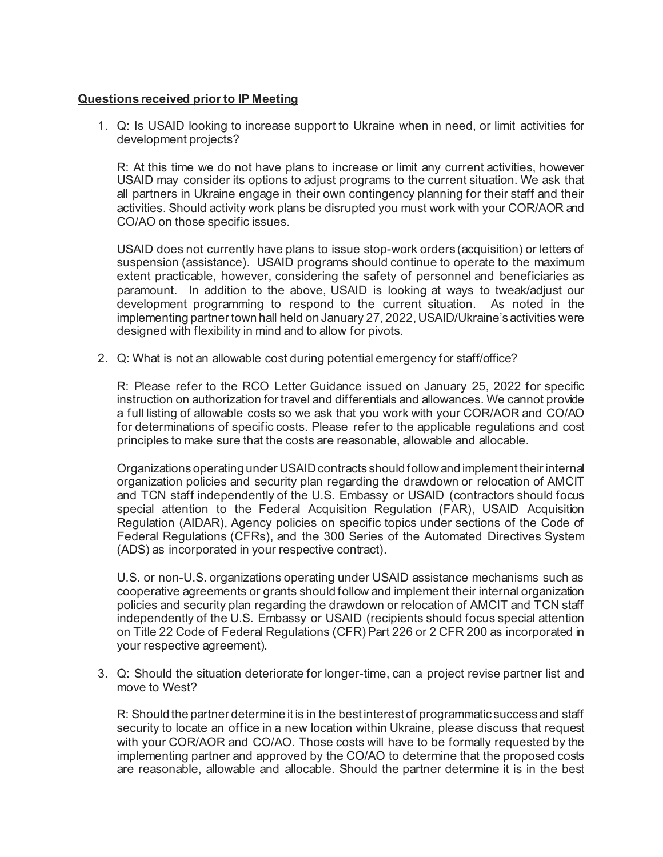## **Questions received prior to IP Meeting**

1. Q: Is USAID looking to increase support to Ukraine when in need, or limit activities for development projects?

R: At this time we do not have plans to increase or limit any current activities, however USAID may consider its options to adjust programs to the current situation. We ask that all partners in Ukraine engage in their own contingency planning for their staff and their activities. Should activity work plans be disrupted you must work with your COR/AOR and CO/AO on those specific issues.

USAID does not currently have plans to issue stop-work orders (acquisition) or letters of suspension (assistance). USAID programs should continue to operate to the maximum extent practicable, however, considering the safety of personnel and beneficiaries as paramount. In addition to the above, USAID is looking at ways to tweak/adjust our development programming to respond to the current situation. As noted in the implementing partner town hall held on January 27, 2022, USAID/Ukraine's activities were designed with flexibility in mind and to allow for pivots.

2. Q: What is not an allowable cost during potential emergency for staff/office?

R: Please refer to the RCO Letter Guidance issued on January 25, 2022 for specific instruction on authorization for travel and differentials and allowances. We cannot provide a full listing of allowable costs so we ask that you work with your COR/AOR and CO/AO for determinations of specific costs. Please refer to the applicable regulations and cost principles to make sure that the costs are reasonable, allowable and allocable.

Organizations operating under USAID contracts should follow and implement their internal organization policies and security plan regarding the drawdown or relocation of AMCIT and TCN staff independently of the U.S. Embassy or USAID (contractors should focus special attention to the Federal Acquisition Regulation (FAR), USAID Acquisition Regulation (AIDAR), Agency policies on specific topics under sections of the Code of Federal Regulations (CFRs), and the 300 Series of the Automated Directives System (ADS) as incorporated in your respective contract).

U.S. or non-U.S. organizations operating under USAID assistance mechanisms such as cooperative agreements or grants should follow and implement their internal organization policies and security plan regarding the drawdown or relocation of AMCIT and TCN staff independently of the U.S. Embassy or USAID (recipients should focus special attention on Title 22 Code of Federal Regulations (CFR) Part 226 or 2 CFR 200 as incorporated in your respective agreement).

3. Q: Should the situation deteriorate for longer-time, can a project revise partner list and move to West?

R: Should the partner determine it is in the best interest of programmatic success and staff security to locate an office in a new location within Ukraine, please discuss that request with your COR/AOR and CO/AO. Those costs will have to be formally requested by the implementing partner and approved by the CO/AO to determine that the proposed costs are reasonable, allowable and allocable. Should the partner determine it is in the best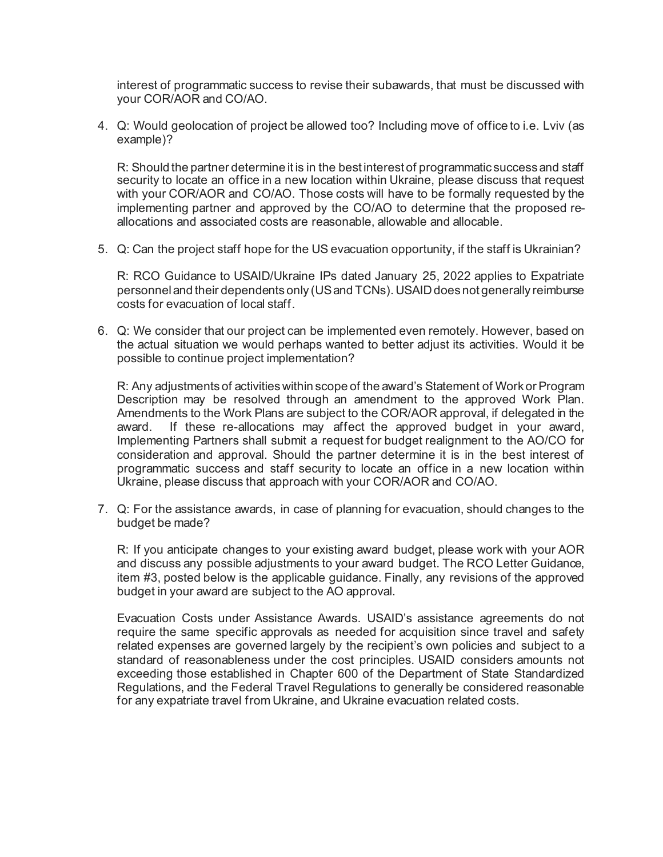interest of programmatic success to revise their subawards, that must be discussed with your COR/AOR and CO/AO.

4. Q: Would geolocation of project be allowed too? Including move of office to i.e. Lviv (as example)?

R: Should the partner determine it is in the best interest of programmatic success and staff security to locate an office in a new location within Ukraine, please discuss that request with your COR/AOR and CO/AO. Those costs will have to be formally requested by the implementing partner and approved by the CO/AO to determine that the proposed reallocations and associated costs are reasonable, allowable and allocable.

5. Q: Can the project staff hope for the US evacuation opportunity, if the staff is Ukrainian?

R: RCO Guidance to USAID/Ukraine IPs dated January 25, 2022 applies to Expatriate personnel and their dependents only (US and TCNs). USAID does not generally reimburse costs for evacuation of local staff.

6. Q: We consider that our project can be implemented even remotely. However, based on the actual situation we would perhaps wanted to better adjust its activities. Would it be possible to continue project implementation?

R: Any adjustments of activities within scope of the award's Statement of Work or Program Description may be resolved through an amendment to the approved Work Plan. Amendments to the Work Plans are subject to the COR/AOR approval, if delegated in the award. If these re-allocations may affect the approved budget in your award, Implementing Partners shall submit a request for budget realignment to the AO/CO for consideration and approval. Should the partner determine it is in the best interest of programmatic success and staff security to locate an office in a new location within Ukraine, please discuss that approach with your COR/AOR and CO/AO.

7. Q: For the assistance awards, in case of planning for evacuation, should changes to the budget be made?

R: If you anticipate changes to your existing award budget, please work with your AOR and discuss any possible adjustments to your award budget. The RCO Letter Guidance, item #3, posted below is the applicable guidance. Finally, any revisions of the approved budget in your award are subject to the AO approval.

Evacuation Costs under Assistance Awards. USAID's assistance agreements do not require the same specific approvals as needed for acquisition since travel and safety related expenses are governed largely by the recipient's own policies and subject to a standard of reasonableness under the cost principles. USAID considers amounts not exceeding those established in Chapter 600 of the Department of State Standardized Regulations, and the Federal Travel Regulations to generally be considered reasonable for any expatriate travel from Ukraine, and Ukraine evacuation related costs.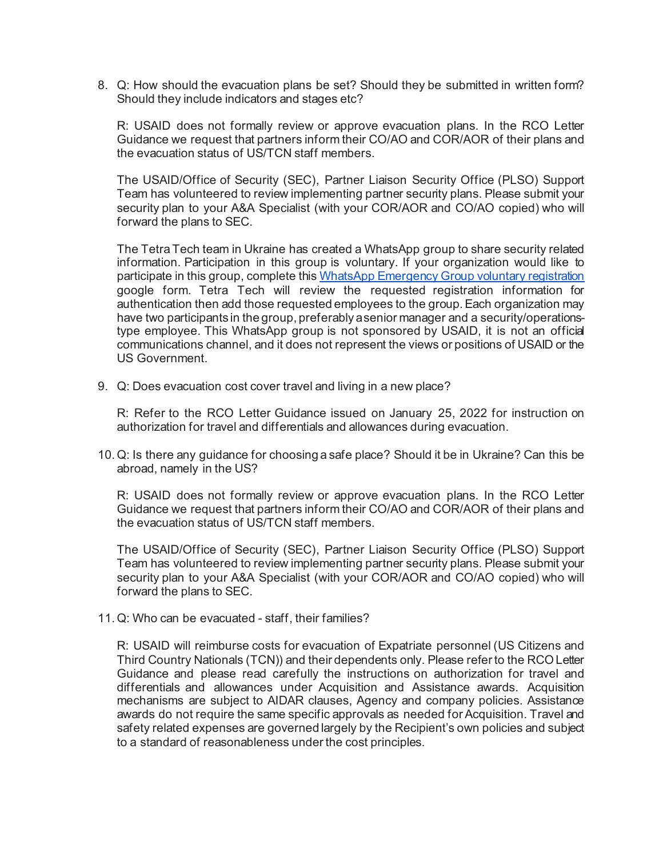8. Q: How should the evacuation plans be set? Should they be submitted in written form? Should they include indicators and stages etc?

R: USAID does not formally review or approve evacuation plans. In the RCO Letter Guidance we request that partners inform their CO/AO and COR/AOR of their plans and the evacuation status of US/TCN staff members.

The USAID/Office of Security (SEC), Partner Liaison Security Office (PLSO) Support Team has volunteered to review implementing partner security plans. Please submit your security plan to your A&A Specialist (with your COR/AOR and CO/AO copied) who will forward the plans to SEC.

The Tetra Tech team in Ukraine has created a WhatsApp group to share security related information. Participation in this group is voluntary. If your organization would like to participate in this group, complete thi[s WhatsApp Emergency Group voluntary registration](https://docs.google.com/forms/d/e/1FAIpQLSd4t4kcdkiQ7ATxaxv3pv4t1bGu8QSl0-jWeyaF0MeE-Z3AzA/viewform) google form. Tetra Tech will review the requested registration information for authentication then add those requested employees to the group. Each organization may have two participants in the group, preferably a senior manager and a security/operationstype employee. This WhatsApp group is not sponsored by USAID, it is not an official communications channel, and it does not represent the views or positions of USAID or the US Government.

9. Q: Does evacuation cost cover travel and living in a new place?

R: Refer to the RCO Letter Guidance issued on January 25, 2022 for instruction on authorization for travel and differentials and allowances during evacuation.

10.Q: Is there any guidance for choosing a safe place? Should it be in Ukraine? Can this be abroad, namely in the US?

R: USAID does not formally review or approve evacuation plans. In the RCO Letter Guidance we request that partners inform their CO/AO and COR/AOR of their plans and the evacuation status of US/TCN staff members.

The USAID/Office of Security (SEC), Partner Liaison Security Office (PLSO) Support Team has volunteered to review implementing partner security plans. Please submit your security plan to your A&A Specialist (with your COR/AOR and CO/AO copied) who will forward the plans to SEC.

11.Q: Who can be evacuated - staff, their families?

R: USAID will reimburse costs for evacuation of Expatriate personnel (US Citizens and Third Country Nationals (TCN)) and their dependents only. Please refer to the RCO Letter Guidance and please read carefully the instructions on authorization for travel and differentials and allowances under Acquisition and Assistance awards. Acquisition mechanisms are subject to AIDAR clauses, Agency and company policies. Assistance awards do not require the same specific approvals as needed for Acquisition. Travel and safety related expenses are governed largely by the Recipient's own policies and subject to a standard of reasonableness under the cost principles.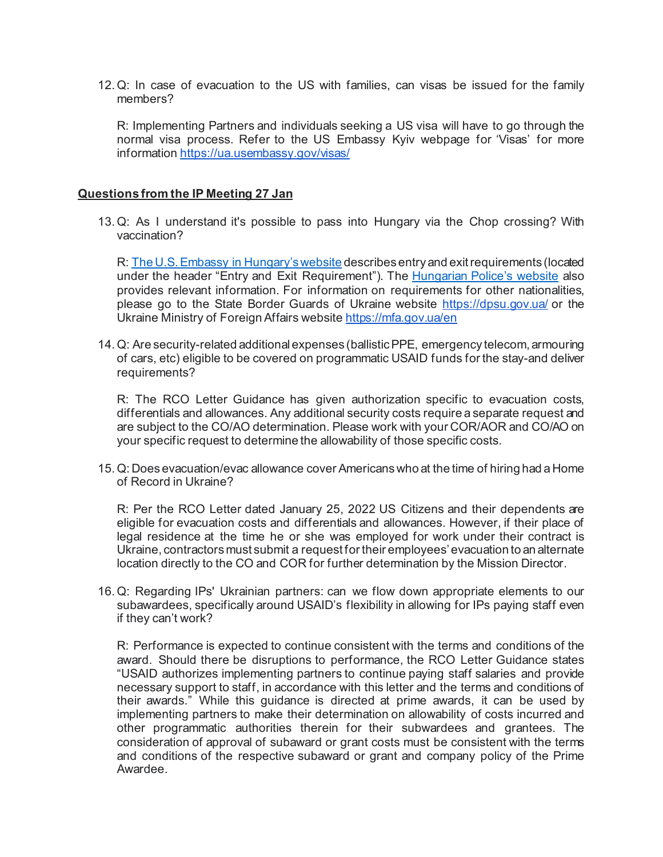12.Q: In case of evacuation to the US with families, can visas be issued for the family members?

R: Implementing Partners and individuals seeking a US visa will have to go through the normal visa process. Refer to the US Embassy Kyiv webpage for 'Visas' for more informatio[n https://ua.usembassy.gov/visas/](https://ua.usembassy.gov/visas/)

## **Questions from the IP Meeting 27 Jan**

13.Q: As I understand it's possible to pass into Hungary via the Chop crossing? With vaccination?

R[: The U.S. Embassy in Hungary's website](https://hu.usembassy.gov/covid-19/) describes entry and exit requirements (located under the header "Entry and Exit Requirement"). The [Hungarian Police's website](http://www.police.hu/en/content/information-on-general-rules-of-border-crossing) also provides relevant information. For information on requirements for other nationalities, please go to the State Border Guards of Ukraine website<https://dpsu.gov.ua/> or the Ukraine Ministry of Foreign Affairs websit[e https://mfa.gov.ua/en](https://mfa.gov.ua/en)

14.Q: Are security-related additional expenses (ballistic PPE, emergency telecom, armouring of cars, etc) eligible to be covered on programmatic USAID funds for the stay-and deliver requirements?

R: The RCO Letter Guidance has given authorization specific to evacuation costs, differentials and allowances. Any additional security costs require a separate request and are subject to the CO/AO determination. Please work with your COR/AOR and CO/AO on your specific request to determine the allowability of those specific costs.

15.Q: Does evacuation/evac allowance cover Americans who at the time of hiring had a Home of Record in Ukraine?

R: Per the RCO Letter dated January 25, 2022 US Citizens and their dependents are eligible for evacuation costs and differentials and allowances. However, if their place of legal residence at the time he or she was employed for work under their contract is Ukraine, contractors must submit a request for their employees' evacuation to an alternate location directly to the CO and COR for further determination by the Mission Director.

16.Q: Regarding IPs' Ukrainian partners: can we flow down appropriate elements to our subawardees, specifically around USAID's flexibility in allowing for IPs paying staff even if they can't work?

R: Performance is expected to continue consistent with the terms and conditions of the award. Should there be disruptions to performance, the RCO Letter Guidance states "USAID authorizes implementing partners to continue paying staff salaries and provide necessary support to staff, in accordance with this letter and the terms and conditions of their awards." While this guidance is directed at prime awards, it can be used by implementing partners to make their determination on allowability of costs incurred and other programmatic authorities therein for their subwardees and grantees. The consideration of approval of subaward or grant costs must be consistent with the terms and conditions of the respective subaward or grant and company policy of the Prime Awardee.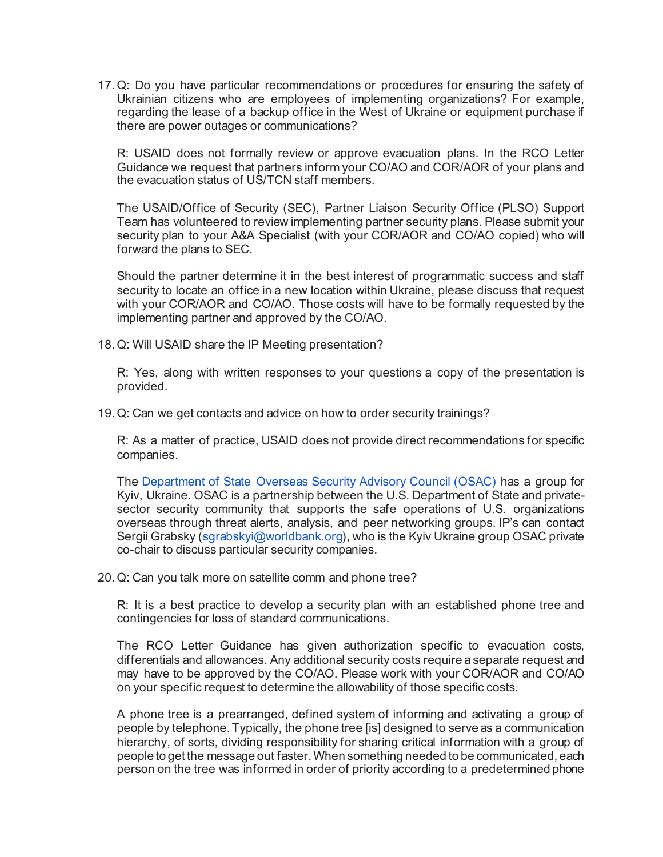17.Q: Do you have particular recommendations or procedures for ensuring the safety of Ukrainian citizens who are employees of implementing organizations? For example, regarding the lease of a backup office in the West of Ukraine or equipment purchase if there are power outages or communications?

R: USAID does not formally review or approve evacuation plans. In the RCO Letter Guidance we request that partners inform your CO/AO and COR/AOR of your plans and the evacuation status of US/TCN staff members.

The USAID/Office of Security (SEC), Partner Liaison Security Office (PLSO) Support Team has volunteered to review implementing partner security plans. Please submit your security plan to your A&A Specialist (with your COR/AOR and CO/AO copied) who will forward the plans to SEC.

Should the partner determine it in the best interest of programmatic success and staff security to locate an office in a new location within Ukraine, please discuss that request with your COR/AOR and CO/AO. Those costs will have to be formally requested by the implementing partner and approved by the CO/AO.

18.Q: Will USAID share the IP Meeting presentation?

R: Yes, along with written responses to your questions a copy of the presentation is provided.

19.Q: Can we get contacts and advice on how to order security trainings?

R: As a matter of practice, USAID does not provide direct recommendations for specific companies.

The [Department of State Overseas Security Advisory Council \(OSAC\)](https://www.osac.gov/) has a group for Kyiv, Ukraine. OSAC is a partnership between the U.S. Department of State and privatesector security community that supports the safe operations of U.S. organizations overseas through threat alerts, analysis, and peer networking groups. IP's can contact Sergii Grabsky (sgrabskyi@worldbank.org), who is the Kyiv Ukraine group OSAC private co-chair to discuss particular security companies.

20.Q: Can you talk more on satellite comm and phone tree?

R: It is a best practice to develop a security plan with an established phone tree and contingencies for loss of standard communications.

The RCO Letter Guidance has given authorization specific to evacuation costs, differentials and allowances. Any additional security costs require a separate request and may have to be approved by the CO/AO. Please work with your COR/AOR and CO/AO on your specific request to determine the allowability of those specific costs.

A phone tree is a prearranged, defined system of informing and activating a group of people by telephone. Typically, the phone tree [is] designed to serve as a communication hierarchy, of sorts, dividing responsibility for sharing critical information with a group of people to get the message out faster. When something needed to be communicated, each person on the tree was informed in order of priority according to a predetermined phone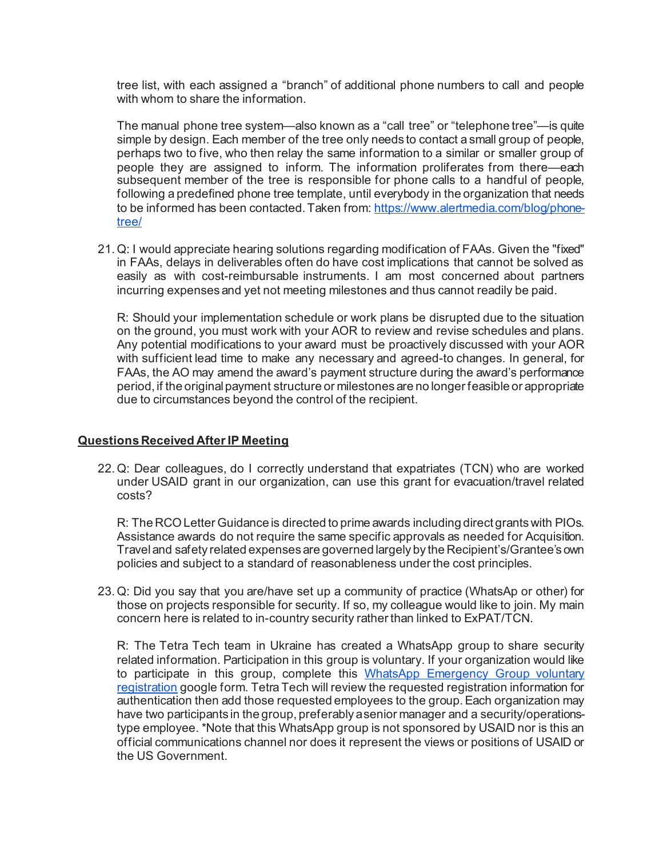tree list, with each assigned a "branch" of additional phone numbers to call and people with whom to share the information.

The manual phone tree system—also known as a "call tree" or "telephone tree"—is quite simple by design. Each member of the tree only needs to contact a small group of people, perhaps two to five, who then relay the same information to a similar or smaller group of people they are assigned to inform. The information proliferates from there—each subsequent member of the tree is responsible for phone calls to a handful of people, following a predefined phone tree template, until everybody in the organization that needs to be informed has been contacted. Taken from[: https://www.alertmedia.com/blog/phone](https://www.alertmedia.com/blog/phone-tree/)[tree/](https://www.alertmedia.com/blog/phone-tree/)

21.Q: I would appreciate hearing solutions regarding modification of FAAs. Given the "fixed" in FAAs, delays in deliverables often do have cost implications that cannot be solved as easily as with cost-reimbursable instruments. I am most concerned about partners incurring expenses and yet not meeting milestones and thus cannot readily be paid.

R: Should your implementation schedule or work plans be disrupted due to the situation on the ground, you must work with your AOR to review and revise schedules and plans. Any potential modifications to your award must be proactively discussed with your AOR with sufficient lead time to make any necessary and agreed-to changes. In general, for FAAs, the AO may amend the award's payment structure during the award's performance period, if the original payment structure or milestones are no longer feasible or appropriate due to circumstances beyond the control of the recipient.

## **Questions Received After IP Meeting**

22.Q: Dear colleagues, do I correctly understand that expatriates (TCN) who are worked under USAID grant in our organization, can use this grant for evacuation/travel related costs?

R: The RCO Letter Guidance is directed to prime awards including direct grants with PIOs. Assistance awards do not require the same specific approvals as needed for Acquisition. Travel and safety related expenses are governed largely by the Recipient's/Grantee's own policies and subject to a standard of reasonableness under the cost principles.

23.Q: Did you say that you are/have set up a community of practice (WhatsAp or other) for those on projects responsible for security. If so, my colleague would like to join. My main concern here is related to in-country security rather than linked to ExPAT/TCN.

R: The Tetra Tech team in Ukraine has created a WhatsApp group to share security related information. Participation in this group is voluntary. If your organization would like to participate in this group, complete this [WhatsApp Emergency Group voluntary](https://docs.google.com/forms/d/e/1FAIpQLSd4t4kcdkiQ7ATxaxv3pv4t1bGu8QSl0-jWeyaF0MeE-Z3AzA/viewform)  [registration](https://docs.google.com/forms/d/e/1FAIpQLSd4t4kcdkiQ7ATxaxv3pv4t1bGu8QSl0-jWeyaF0MeE-Z3AzA/viewform) google form. Tetra Tech will review the requested registration information for authentication then add those requested employees to the group. Each organization may have two participants in the group, preferably a senior manager and a security/operationstype employee. \*Note that this WhatsApp group is not sponsored by USAID nor is this an official communications channel nor does it represent the views or positions of USAID or the US Government.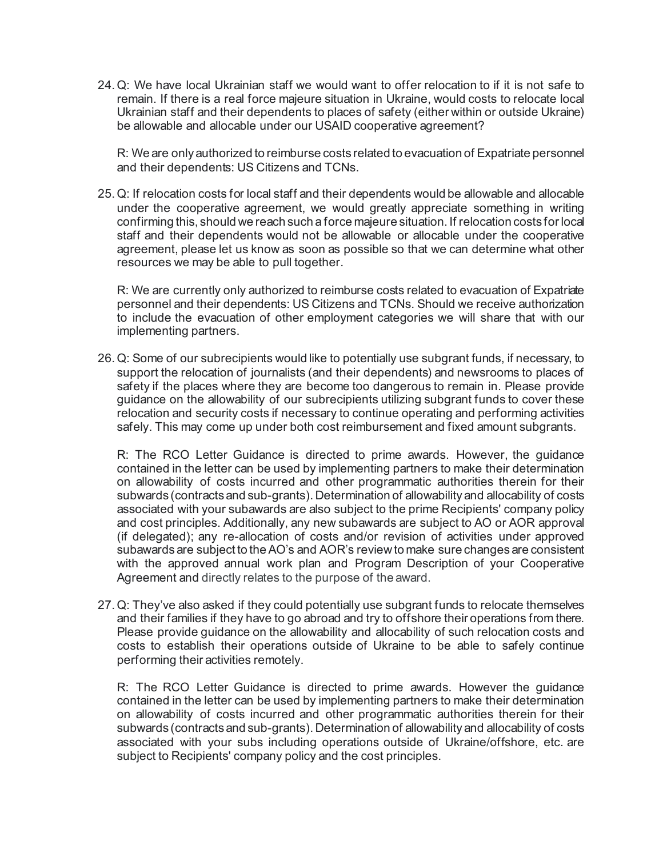24.Q: We have local Ukrainian staff we would want to offer relocation to if it is not safe to remain. If there is a real force majeure situation in Ukraine, would costs to relocate local Ukrainian staff and their dependents to places of safety (either within or outside Ukraine) be allowable and allocable under our USAID cooperative agreement?

R: We are only authorized to reimburse costs related to evacuation of Expatriate personnel and their dependents: US Citizens and TCNs.

25.Q: If relocation costs for local staff and their dependents would be allowable and allocable under the cooperative agreement, we would greatly appreciate something in writing confirming this, should we reach such a force majeure situation. If relocation costs for local staff and their dependents would not be allowable or allocable under the cooperative agreement, please let us know as soon as possible so that we can determine what other resources we may be able to pull together.

R: We are currently only authorized to reimburse costs related to evacuation of Expatriate personnel and their dependents: US Citizens and TCNs. Should we receive authorization to include the evacuation of other employment categories we will share that with our implementing partners.

26.Q: Some of our subrecipients would like to potentially use subgrant funds, if necessary, to support the relocation of journalists (and their dependents) and newsrooms to places of safety if the places where they are become too dangerous to remain in. Please provide guidance on the allowability of our subrecipients utilizing subgrant funds to cover these relocation and security costs if necessary to continue operating and performing activities safely. This may come up under both cost reimbursement and fixed amount subgrants.

R: The RCO Letter Guidance is directed to prime awards. However, the guidance contained in the letter can be used by implementing partners to make their determination on allowability of costs incurred and other programmatic authorities therein for their subwards (contracts and sub-grants). Determination of allowability and allocability of costs associated with your subawards are also subject to the prime Recipients' company policy and cost principles. Additionally, any new subawards are subject to AO or AOR approval (if delegated); any re-allocation of costs and/or revision of activities under approved subawards are subject to the AO's and AOR's review to make sure changes are consistent with the approved annual work plan and Program Description of your Cooperative Agreement and directly relates to the purpose of the award.

27.Q: They've also asked if they could potentially use subgrant funds to relocate themselves and their families if they have to go abroad and try to offshore their operations from there. Please provide guidance on the allowability and allocability of such relocation costs and costs to establish their operations outside of Ukraine to be able to safely continue performing their activities remotely.

R: The RCO Letter Guidance is directed to prime awards. However the guidance contained in the letter can be used by implementing partners to make their determination on allowability of costs incurred and other programmatic authorities therein for their subwards (contracts and sub-grants). Determination of allowability and allocability of costs associated with your subs including operations outside of Ukraine/offshore, etc. are subject to Recipients' company policy and the cost principles.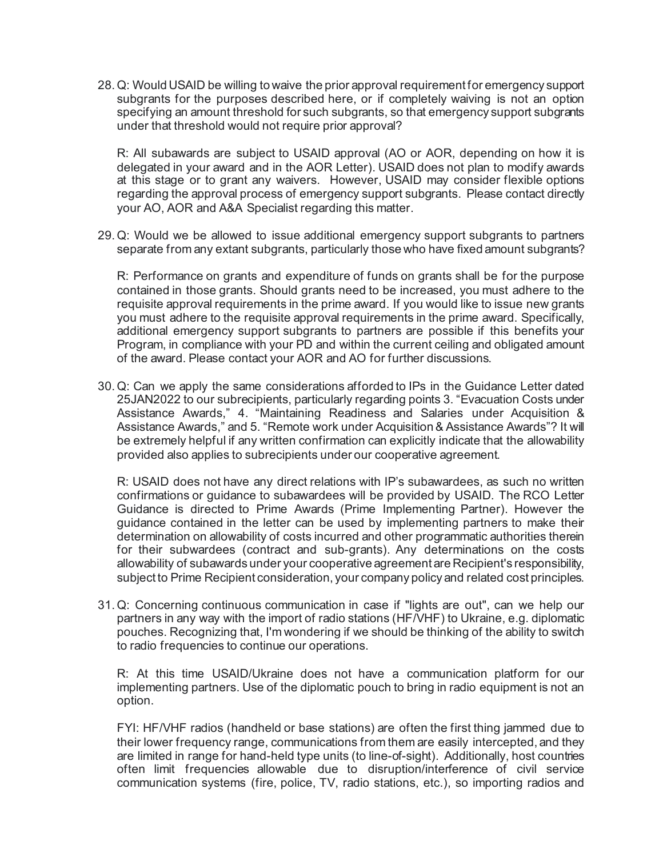28.Q: Would USAID be willing to waive the prior approval requirement for emergency support subgrants for the purposes described here, or if completely waiving is not an option specifying an amount threshold for such subgrants, so that emergency support subgrants under that threshold would not require prior approval?

R: All subawards are subject to USAID approval (AO or AOR, depending on how it is delegated in your award and in the AOR Letter). USAID does not plan to modify awards at this stage or to grant any waivers. However, USAID may consider flexible options regarding the approval process of emergency support subgrants. Please contact directly your AO, AOR and A&A Specialist regarding this matter.

29.Q: Would we be allowed to issue additional emergency support subgrants to partners separate from any extant subgrants, particularly those who have fixed amount subgrants?

R: Performance on grants and expenditure of funds on grants shall be for the purpose contained in those grants. Should grants need to be increased, you must adhere to the requisite approval requirements in the prime award. If you would like to issue new grants you must adhere to the requisite approval requirements in the prime award. Specifically, additional emergency support subgrants to partners are possible if this benefits your Program, in compliance with your PD and within the current ceiling and obligated amount of the award. Please contact your AOR and AO for further discussions.

30.Q: Can we apply the same considerations afforded to IPs in the Guidance Letter dated 25JAN2022 to our subrecipients, particularly regarding points 3. "Evacuation Costs under Assistance Awards," 4. "Maintaining Readiness and Salaries under Acquisition & Assistance Awards," and 5. "Remote work under Acquisition & Assistance Awards"? It will be extremely helpful if any written confirmation can explicitly indicate that the allowability provided also applies to subrecipients under our cooperative agreement.

R: USAID does not have any direct relations with IP's subawardees, as such no written confirmations or guidance to subawardees will be provided by USAID. The RCO Letter Guidance is directed to Prime Awards (Prime Implementing Partner). However the guidance contained in the letter can be used by implementing partners to make their determination on allowability of costs incurred and other programmatic authorities therein for their subwardees (contract and sub-grants). Any determinations on the costs allowability of subawards under your cooperative agreement are Recipient's responsibility, subject to Prime Recipient consideration, your company policy and related cost principles.

31.Q: Concerning continuous communication in case if "lights are out", can we help our partners in any way with the import of radio stations (HF/VHF) to Ukraine, e.g. diplomatic pouches. Recognizing that, I'm wondering if we should be thinking of the ability to switch to radio frequencies to continue our operations.

R: At this time USAID/Ukraine does not have a communication platform for our implementing partners. Use of the diplomatic pouch to bring in radio equipment is not an option.

FYI: HF/VHF radios (handheld or base stations) are often the first thing jammed due to their lower frequency range, communications from them are easily intercepted, and they are limited in range for hand-held type units (to line-of-sight). Additionally, host countries often limit frequencies allowable due to disruption/interference of civil service communication systems (fire, police, TV, radio stations, etc.), so importing radios and